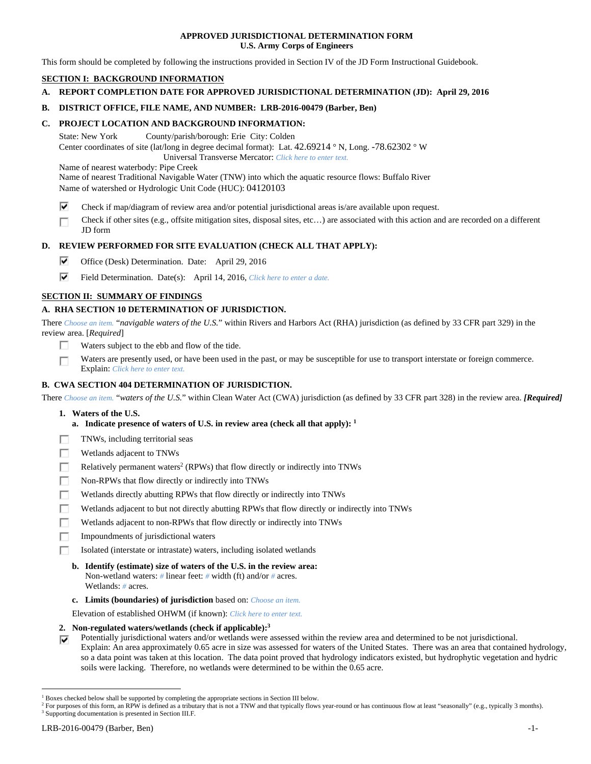## **APPROVED JURISDICTIONAL DETERMINATION FORM U.S. Army Corps of Engineers**

This form should be completed by following the instructions provided in Section IV of the JD Form Instructional Guidebook.

# **SECTION I: BACKGROUND INFORMATION**

**A. REPORT COMPLETION DATE FOR APPROVED JURISDICTIONAL DETERMINATION (JD): April 29, 2016** 

## **B. DISTRICT OFFICE, FILE NAME, AND NUMBER: LRB-2016-00479 (Barber, Ben)**

## **C. PROJECT LOCATION AND BACKGROUND INFORMATION:**

State: New York County/parish/borough: Erie City: Colden Center coordinates of site (lat/long in degree decimal format): Lat. 42.69214 ° N, Long. -78.62302 ° W Universal Transverse Mercator: *Click here to enter text.*

Name of nearest waterbody: Pipe Creek

Name of nearest Traditional Navigable Water (TNW) into which the aquatic resource flows: Buffalo River Name of watershed or Hydrologic Unit Code (HUC): 04120103

- ⊽ Check if map/diagram of review area and/or potential jurisdictional areas is/are available upon request.
- Check if other sites (e.g., offsite mitigation sites, disposal sites, etc…) are associated with this action and are recorded on a different п JD form

# **D. REVIEW PERFORMED FOR SITE EVALUATION (CHECK ALL THAT APPLY):**

- ⊽ Office (Desk) Determination. Date: April 29, 2016
- ⊽ Field Determination. Date(s): April 14, 2016, *Click here to enter a date.*

# **SECTION II: SUMMARY OF FINDINGS**

# **A. RHA SECTION 10 DETERMINATION OF JURISDICTION.**

There *Choose an item.* "*navigable waters of the U.S.*" within Rivers and Harbors Act (RHA) jurisdiction (as defined by 33 CFR part 329) in the review area. [*Required*]

- П. Waters subject to the ebb and flow of the tide.
- Waters are presently used, or have been used in the past, or may be susceptible for use to transport interstate or foreign commerce. П Explain: *Click here to enter text.*

# **B. CWA SECTION 404 DETERMINATION OF JURISDICTION.**

There *Choose an item.* "*waters of the U.S.*" within Clean Water Act (CWA) jurisdiction (as defined by 33 CFR part 328) in the review area. *[Required]*

### **1. Waters of the U.S.**

- **a. Indicate presence of waters of U.S. in review area (check all that apply): 1**
- TNWs, including territorial seas г
- п Wetlands adjacent to TNWs
- П Relatively permanent waters<sup>2</sup> (RPWs) that flow directly or indirectly into TNWs
- г Non-RPWs that flow directly or indirectly into TNWs
- Wetlands directly abutting RPWs that flow directly or indirectly into TNWs Е
- п Wetlands adjacent to but not directly abutting RPWs that flow directly or indirectly into TNWs
- п Wetlands adjacent to non-RPWs that flow directly or indirectly into TNWs
- п Impoundments of jurisdictional waters
- Isolated (interstate or intrastate) waters, including isolated wetlands
- **b. Identify (estimate) size of waters of the U.S. in the review area:**  Non-wetland waters: *#* linear feet: *#* width (ft) and/or *#* acres. Wetlands: *#* acres.
- **c. Limits (boundaries) of jurisdiction** based on: *Choose an item.*

Elevation of established OHWM (if known): *Click here to enter text.*

 **2. Non-regulated waters/wetlands (check if applicable):3**

Potentially jurisdictional waters and/or wetlands were assessed within the review area and determined to be not jurisdictional. ⊽ Explain: An area approximately 0.65 acre in size was assessed for waters of the United States. There was an area that contained hydrology, so a data point was taken at this location. The data point proved that hydrology indicators existed, but hydrophytic vegetation and hydric soils were lacking. Therefore, no wetlands were determined to be within the 0.65 acre.

<sup>&</sup>lt;sup>1</sup> Boxes checked below shall be supported by completing the appropriate sections in Section III below.<br><sup>2</sup> For purposes of this form, an PPW is defined as a tributary that is not a TNW and that typically flows

<sup>&</sup>lt;sup>2</sup> For purposes of this form, an RPW is defined as a tributary that is not a TNW and that typically flows year-round or has continuous flow at least "seasonally" (e.g., typically 3 months).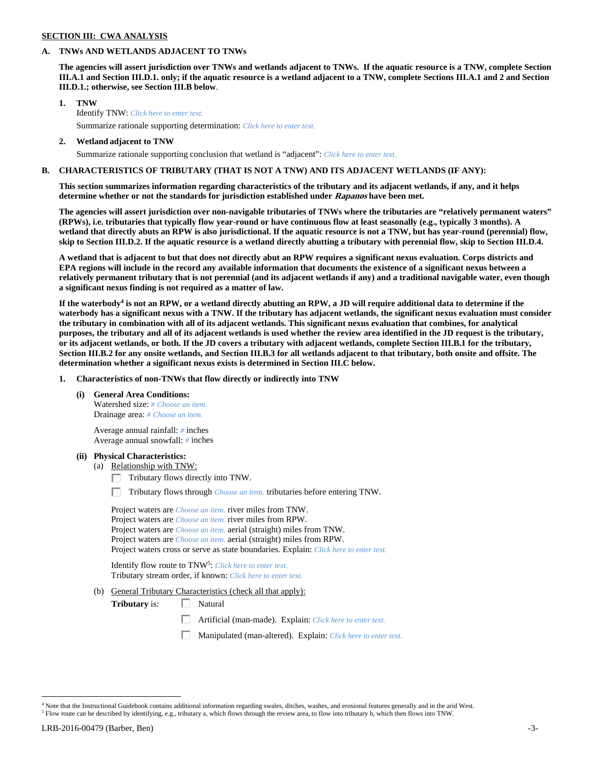## **SECTION III: CWA ANALYSIS**

### **A. TNWs AND WETLANDS ADJACENT TO TNWs**

**The agencies will assert jurisdiction over TNWs and wetlands adjacent to TNWs. If the aquatic resource is a TNW, complete Section III.A.1 and Section III.D.1. only; if the aquatic resource is a wetland adjacent to a TNW, complete Sections III.A.1 and 2 and Section III.D.1.; otherwise, see Section III.B below**.

- **1. TNW**  Identify TNW: *Click here to enter text.*
	- Summarize rationale supporting determination: *Click here to enter text.*
- **2. Wetland adjacent to TNW**  Summarize rationale supporting conclusion that wetland is "adjacent": *Click here to enter text.*

# **B. CHARACTERISTICS OF TRIBUTARY (THAT IS NOT A TNW) AND ITS ADJACENT WETLANDS (IF ANY):**

**This section summarizes information regarding characteristics of the tributary and its adjacent wetlands, if any, and it helps determine whether or not the standards for jurisdiction established under Rapanos have been met.** 

**The agencies will assert jurisdiction over non-navigable tributaries of TNWs where the tributaries are "relatively permanent waters" (RPWs), i.e. tributaries that typically flow year-round or have continuous flow at least seasonally (e.g., typically 3 months). A wetland that directly abuts an RPW is also jurisdictional. If the aquatic resource is not a TNW, but has year-round (perennial) flow, skip to Section III.D.2. If the aquatic resource is a wetland directly abutting a tributary with perennial flow, skip to Section III.D.4.** 

**A wetland that is adjacent to but that does not directly abut an RPW requires a significant nexus evaluation. Corps districts and EPA regions will include in the record any available information that documents the existence of a significant nexus between a relatively permanent tributary that is not perennial (and its adjacent wetlands if any) and a traditional navigable water, even though a significant nexus finding is not required as a matter of law.** 

If the waterbody<sup>4</sup> is not an RPW, or a wetland directly abutting an RPW, a JD will require additional data to determine if the **waterbody has a significant nexus with a TNW. If the tributary has adjacent wetlands, the significant nexus evaluation must consider the tributary in combination with all of its adjacent wetlands. This significant nexus evaluation that combines, for analytical purposes, the tributary and all of its adjacent wetlands is used whether the review area identified in the JD request is the tributary, or its adjacent wetlands, or both. If the JD covers a tributary with adjacent wetlands, complete Section III.B.1 for the tributary, Section III.B.2 for any onsite wetlands, and Section III.B.3 for all wetlands adjacent to that tributary, both onsite and offsite. The determination whether a significant nexus exists is determined in Section III.C below.** 

 **1. Characteristics of non-TNWs that flow directly or indirectly into TNW** 

 **(i) General Area Conditions:** 

 Watershed size: *# Choose an item.* Drainage area: *# Choose an item.*

 Average annual rainfall: *#* inches Average annual snowfall: *#* inches

### **(ii) Physical Characteristics:**

- (a) Relationship with TNW:
	- $\Box$  Tributary flows directly into TNW.

п Tributary flows through *Choose an item.* tributaries before entering TNW.

 Project waters are *Choose an item.* river miles from TNW. Project waters are *Choose an item.* river miles from RPW. Project waters are *Choose an item.* aerial (straight) miles from TNW. Project waters are *Choose an item.* aerial (straight) miles from RPW. Project waters cross or serve as state boundaries. Explain: *Click here to enter text.*

Identify flow route to TNW5: *Click here to enter text.* Tributary stream order, if known: *Click here to enter text.*

(b) General Tributary Characteristics (check all that apply):

**Tributary** is:  $\Box$  Natural

- 口 Artificial (man-made). Explain: *Click here to enter text.*
- Manipulated (man-altered). Explain: *Click here to enter text.*

<sup>4</sup> Note that the Instructional Guidebook contains additional information regarding swales, ditches, washes, and erosional features generally and in the arid West.

 $<sup>5</sup>$  Flow route can be described by identifying, e.g., tributary a, which flows through the review area, to flow into tributary b, which then flows into TNW.</sup>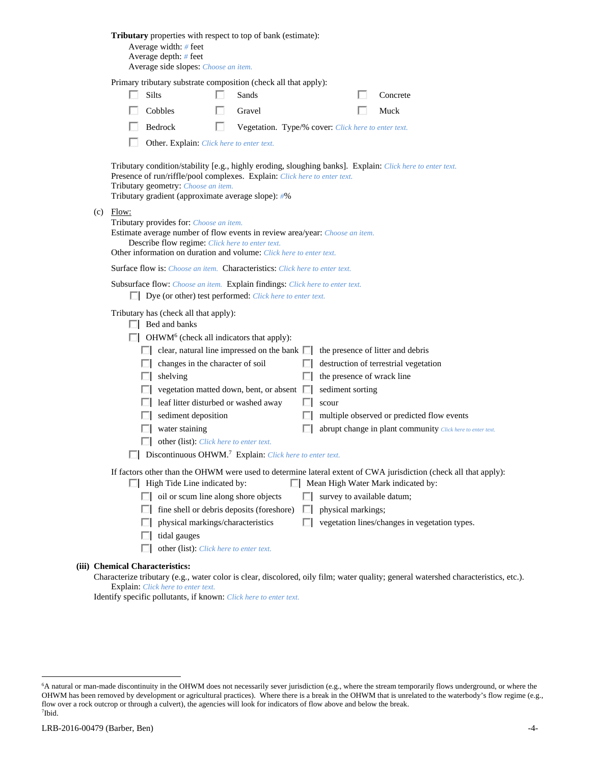| <b>Tributary</b> properties with respect to top of bank (estimate):<br>Average width: $#$ feet<br>Average depth: # feet<br>Average side slopes: Choose an item.                                                                                                                                                                                                                                                                                                                                                                                                                                                                                                                                                                                                                                                                                                                                                                                                                                                                                                                                                                                                                                                             |
|-----------------------------------------------------------------------------------------------------------------------------------------------------------------------------------------------------------------------------------------------------------------------------------------------------------------------------------------------------------------------------------------------------------------------------------------------------------------------------------------------------------------------------------------------------------------------------------------------------------------------------------------------------------------------------------------------------------------------------------------------------------------------------------------------------------------------------------------------------------------------------------------------------------------------------------------------------------------------------------------------------------------------------------------------------------------------------------------------------------------------------------------------------------------------------------------------------------------------------|
| Primary tributary substrate composition (check all that apply):                                                                                                                                                                                                                                                                                                                                                                                                                                                                                                                                                                                                                                                                                                                                                                                                                                                                                                                                                                                                                                                                                                                                                             |
| <b>Silts</b><br>Sands<br>Concrete                                                                                                                                                                                                                                                                                                                                                                                                                                                                                                                                                                                                                                                                                                                                                                                                                                                                                                                                                                                                                                                                                                                                                                                           |
| Cobbles<br>Gravel<br>Muck                                                                                                                                                                                                                                                                                                                                                                                                                                                                                                                                                                                                                                                                                                                                                                                                                                                                                                                                                                                                                                                                                                                                                                                                   |
| Bedrock<br>U<br>Vegetation. Type/% cover: Click here to enter text.                                                                                                                                                                                                                                                                                                                                                                                                                                                                                                                                                                                                                                                                                                                                                                                                                                                                                                                                                                                                                                                                                                                                                         |
| Other. Explain: Click here to enter text.                                                                                                                                                                                                                                                                                                                                                                                                                                                                                                                                                                                                                                                                                                                                                                                                                                                                                                                                                                                                                                                                                                                                                                                   |
| Tributary condition/stability [e.g., highly eroding, sloughing banks]. Explain: Click here to enter text.<br>Presence of run/riffle/pool complexes. Explain: Click here to enter text.<br>Tributary geometry: Choose an item.<br>Tributary gradient (approximate average slope): #%                                                                                                                                                                                                                                                                                                                                                                                                                                                                                                                                                                                                                                                                                                                                                                                                                                                                                                                                         |
| $(c)$ Flow:<br>Tributary provides for: Choose an item.<br>Estimate average number of flow events in review area/year: Choose an item.<br>Describe flow regime: Click here to enter text.<br>Other information on duration and volume: Click here to enter text.                                                                                                                                                                                                                                                                                                                                                                                                                                                                                                                                                                                                                                                                                                                                                                                                                                                                                                                                                             |
| <b>Surface flow is:</b> Choose an item. <b>Characteristics:</b> Click here to enter text.                                                                                                                                                                                                                                                                                                                                                                                                                                                                                                                                                                                                                                                                                                                                                                                                                                                                                                                                                                                                                                                                                                                                   |
| Subsurface flow: Choose an item. Explain findings: Click here to enter text.<br>$\Box$ Dye (or other) test performed: <i>Click here to enter text</i> .                                                                                                                                                                                                                                                                                                                                                                                                                                                                                                                                                                                                                                                                                                                                                                                                                                                                                                                                                                                                                                                                     |
| Tributary has (check all that apply):<br>$\Box$ Bed and banks<br>$\Box$ OHWM <sup>6</sup> (check all indicators that apply):<br>$\Box$ clear, natural line impressed on the bank $\Box$<br>the presence of litter and debris<br>destruction of terrestrial vegetation<br>changes in the character of soil<br>ш<br>the presence of wrack line<br>shelving<br>ш<br>vegetation matted down, bent, or absent $\Box$<br>sediment sorting<br>leaf litter disturbed or washed away<br>scour<br>sediment deposition<br>multiple observed or predicted flow events<br>water staining<br>abrupt change in plant community Click here to enter text.<br>other (list): Click here to enter text.<br>Discontinuous OHWM. <sup>7</sup> Explain: Click here to enter text.<br>If factors other than the OHWM were used to determine lateral extent of CWA jurisdiction (check all that apply):<br>$\Box$ High Tide Line indicated by:<br>Mean High Water Mark indicated by:<br>oil or scum line along shore objects<br>survey to available datum;<br>fine shell or debris deposits (foreshore)<br>physical markings;<br>$\mathbf{L}$<br>vegetation lines/changes in vegetation types.<br>physical markings/characteristics<br>tidal gauges |
| other (list): Click here to enter text.<br>(iii) Chemical Characteristics:                                                                                                                                                                                                                                                                                                                                                                                                                                                                                                                                                                                                                                                                                                                                                                                                                                                                                                                                                                                                                                                                                                                                                  |
| Characterize tributary (e.g., water color is clear, discolored, oily film; water quality; general watershed characteristics, etc.).                                                                                                                                                                                                                                                                                                                                                                                                                                                                                                                                                                                                                                                                                                                                                                                                                                                                                                                                                                                                                                                                                         |

Explain: *Click here to enter text.* Identify specific pollutants, if known: *Click here to enter text.*

<sup>&</sup>lt;sup>6</sup>A natural or man-made discontinuity in the OHWM does not necessarily sever jurisdiction (e.g., where the stream temporarily flows underground, or where the OHWM has been removed by development or agricultural practices). Where there is a break in the OHWM that is unrelated to the waterbody's flow regime (e.g., flow over a rock outcrop or through a culvert), the agencies will look for indicators of flow above and below the break. 7 Ibid.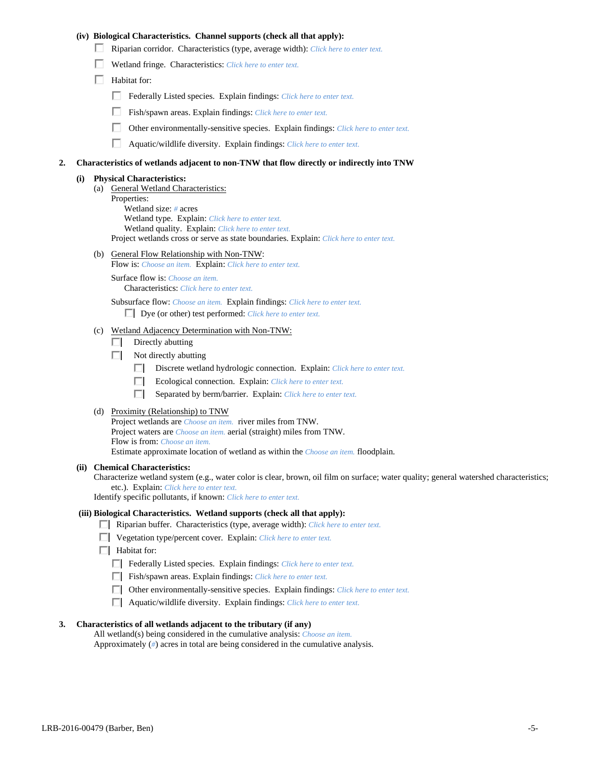## **(iv) Biological Characteristics. Channel supports (check all that apply):**

- Riparian corridor. Characteristics (type, average width): *Click here to enter text.*
- Wetland fringe. Characteristics: *Click here to enter text.*
- $\Box$  Habitat for:
	- Federally Listed species. Explain findings: *Click here to enter text*.
	- Fish/spawn areas. Explain findings: *Click here to enter text*.
	- п. Other environmentally-sensitive species. Explain findings: *Click here to enter text.*
	- П. Aquatic/wildlife diversity. Explain findings: *Click here to enter text.*

#### **2. Characteristics of wetlands adjacent to non-TNW that flow directly or indirectly into TNW**

#### **(i) Physical Characteristics:**

- (a) General Wetland Characteristics:
	- Properties:

 Wetland size: *#* acres Wetland type. Explain: *Click here to enter text.*

Wetland quality. Explain: *Click here to enter text.*

Project wetlands cross or serve as state boundaries. Explain: *Click here to enter text.*

(b) General Flow Relationship with Non-TNW: Flow is: *Choose an item.* Explain: *Click here to enter text.*

 Surface flow is: *Choose an item.* Characteristics: *Click here to enter text.*

Subsurface flow: *Choose an item.* Explain findings: *Click here to enter text.*

Dye (or other) test performed: *Click here to enter text.*

### (c) Wetland Adjacency Determination with Non-TNW:

- $\Box$  Directly abutting
- $\Box$  Not directly abutting
	- п. Discrete wetland hydrologic connection. Explain: *Click here to enter text.*
	- Ecological connection. Explain: *Click here to enter text.* П.
	- $\Box$ Separated by berm/barrier. Explain: *Click here to enter text.*
- (d) Proximity (Relationship) to TNW

Project wetlands are *Choose an item.* river miles from TNW. Project waters are *Choose an item.* aerial (straight) miles from TNW. Flow is from: *Choose an item.* Estimate approximate location of wetland as within the *Choose an item.* floodplain.

#### **(ii) Chemical Characteristics:**

Characterize wetland system (e.g., water color is clear, brown, oil film on surface; water quality; general watershed characteristics; etc.). Explain: *Click here to enter text.*

Identify specific pollutants, if known: *Click here to enter text.*

## **(iii) Biological Characteristics. Wetland supports (check all that apply):**

- Riparian buffer. Characteristics (type, average width): *Click here to enter text.*
- Vegetation type/percent cover. Explain: *Click here to enter text.*
- $\Box$  Habitat for:
	- Federally Listed species. Explain findings: *Click here to enter text*.
	- Fish/spawn areas. Explain findings: *Click here to enter text*.
	- Other environmentally-sensitive species. Explain findings: *Click here to enter text.*
	- Aquatic/wildlife diversity. Explain findings: *Click here to enter text.*

#### **3. Characteristics of all wetlands adjacent to the tributary (if any)**

 All wetland(s) being considered in the cumulative analysis: *Choose an item.* Approximately (*#*) acres in total are being considered in the cumulative analysis.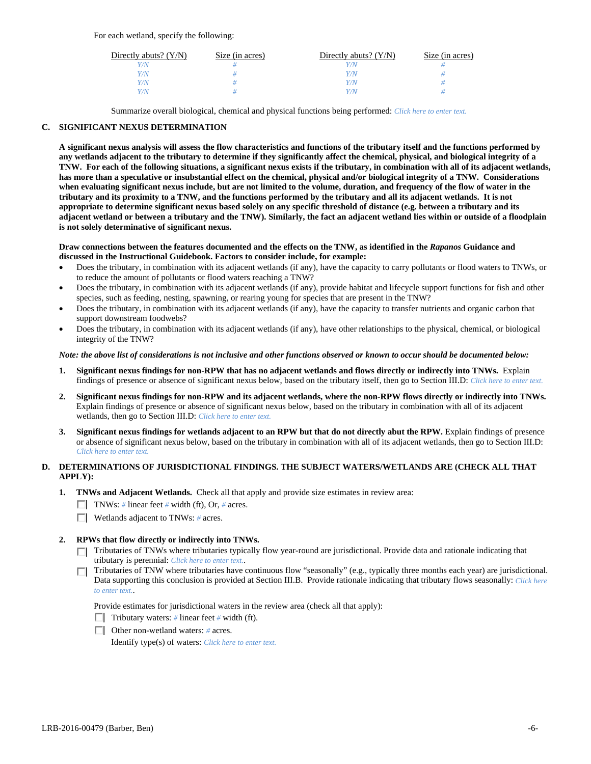| Directly abuts? $(Y/N)$ | Size (in acres) | Directly abuts? $(Y/N)$ | Size (in acres) |
|-------------------------|-----------------|-------------------------|-----------------|
| V/N                     |                 |                         |                 |
| Y/N                     |                 | $^{\prime}$ /N          |                 |
| Y/N                     |                 | 77N                     |                 |
| Y/N.                    |                 | 77N                     |                 |

Summarize overall biological, chemical and physical functions being performed: *Click here to enter text.*

## **C. SIGNIFICANT NEXUS DETERMINATION**

**A significant nexus analysis will assess the flow characteristics and functions of the tributary itself and the functions performed by any wetlands adjacent to the tributary to determine if they significantly affect the chemical, physical, and biological integrity of a TNW. For each of the following situations, a significant nexus exists if the tributary, in combination with all of its adjacent wetlands, has more than a speculative or insubstantial effect on the chemical, physical and/or biological integrity of a TNW. Considerations when evaluating significant nexus include, but are not limited to the volume, duration, and frequency of the flow of water in the tributary and its proximity to a TNW, and the functions performed by the tributary and all its adjacent wetlands. It is not appropriate to determine significant nexus based solely on any specific threshold of distance (e.g. between a tributary and its adjacent wetland or between a tributary and the TNW). Similarly, the fact an adjacent wetland lies within or outside of a floodplain is not solely determinative of significant nexus.** 

### **Draw connections between the features documented and the effects on the TNW, as identified in the** *Rapanos* **Guidance and discussed in the Instructional Guidebook. Factors to consider include, for example:**

- Does the tributary, in combination with its adjacent wetlands (if any), have the capacity to carry pollutants or flood waters to TNWs, or to reduce the amount of pollutants or flood waters reaching a TNW?
- Does the tributary, in combination with its adjacent wetlands (if any), provide habitat and lifecycle support functions for fish and other species, such as feeding, nesting, spawning, or rearing young for species that are present in the TNW?
- Does the tributary, in combination with its adjacent wetlands (if any), have the capacity to transfer nutrients and organic carbon that support downstream foodwebs?
- Does the tributary, in combination with its adjacent wetlands (if any), have other relationships to the physical, chemical, or biological integrity of the TNW?

### *Note: the above list of considerations is not inclusive and other functions observed or known to occur should be documented below:*

- **1. Significant nexus findings for non-RPW that has no adjacent wetlands and flows directly or indirectly into TNWs.** Explain findings of presence or absence of significant nexus below, based on the tributary itself, then go to Section III.D: *Click here to enter text.*
- **2. Significant nexus findings for non-RPW and its adjacent wetlands, where the non-RPW flows directly or indirectly into TNWs.**  Explain findings of presence or absence of significant nexus below, based on the tributary in combination with all of its adjacent wetlands, then go to Section III.D: *Click here to enter text.*
- **3. Significant nexus findings for wetlands adjacent to an RPW but that do not directly abut the RPW.** Explain findings of presence or absence of significant nexus below, based on the tributary in combination with all of its adjacent wetlands, then go to Section III.D: *Click here to enter text.*

# **D. DETERMINATIONS OF JURISDICTIONAL FINDINGS. THE SUBJECT WATERS/WETLANDS ARE (CHECK ALL THAT APPLY):**

- **1. TNWs and Adjacent Wetlands.** Check all that apply and provide size estimates in review area:
	- TNWs: *#* linear feet *#* width (ft), Or, *#* acres.
	- Wetlands adjacent to TNWs: *#* acres.
- **2. RPWs that flow directly or indirectly into TNWs.** 
	- Tributaries of TNWs where tributaries typically flow year-round are jurisdictional. Provide data and rationale indicating that tributary is perennial: *Click here to enter text.*.
	- Tributaries of TNW where tributaries have continuous flow "seasonally" (e.g., typically three months each year) are jurisdictional. Data supporting this conclusion is provided at Section III.B. Provide rationale indicating that tributary flows seasonally: *Click here to enter text.*.

Provide estimates for jurisdictional waters in the review area (check all that apply):

- Tributary waters:  $\#$  linear feet  $\#$  width (ft).
- Other non-wetland waters: *#* acres.

Identify type(s) of waters: *Click here to enter text.*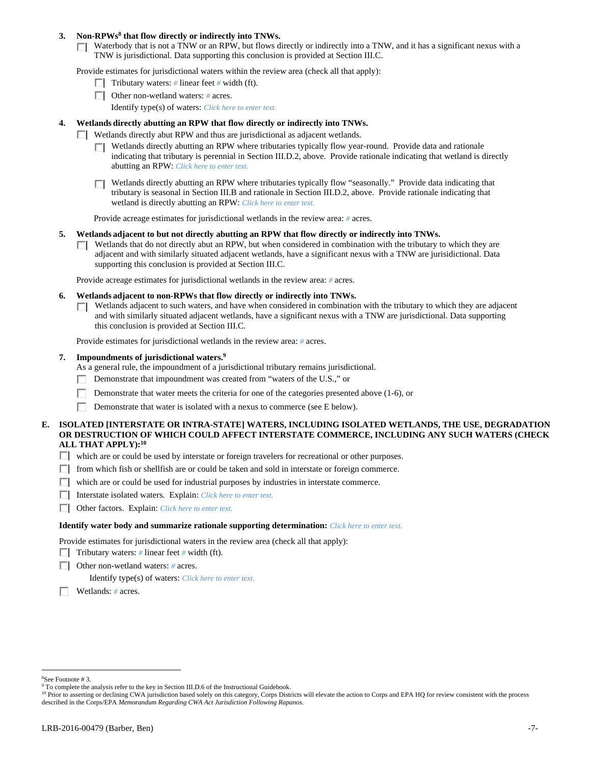## 3. Non-RPWs<sup>8</sup> that flow directly or indirectly into TNWs.

Waterbody that is not a TNW or an RPW, but flows directly or indirectly into a TNW, and it has a significant nexus with a TNW is jurisdictional. Data supporting this conclusion is provided at Section III.C.

Provide estimates for jurisdictional waters within the review area (check all that apply):

- **Tributary waters:** # linear feet # width (ft).
- Other non-wetland waters: *#* acres.
	- Identify type(s) of waters: *Click here to enter text.*

# **4. Wetlands directly abutting an RPW that flow directly or indirectly into TNWs.**

- **Wetlands directly abut RPW and thus are jurisdictional as adjacent wetlands.** 
	- Wetlands directly abutting an RPW where tributaries typically flow year-round. Provide data and rationale indicating that tributary is perennial in Section III.D.2, above. Provide rationale indicating that wetland is directly abutting an RPW: *Click here to enter text.*
	- Wetlands directly abutting an RPW where tributaries typically flow "seasonally." Provide data indicating that П tributary is seasonal in Section III.B and rationale in Section III.D.2, above. Provide rationale indicating that wetland is directly abutting an RPW: *Click here to enter text.*

Provide acreage estimates for jurisdictional wetlands in the review area: *#* acres.

- **5. Wetlands adjacent to but not directly abutting an RPW that flow directly or indirectly into TNWs.** 
	- $\Box$  Wetlands that do not directly abut an RPW, but when considered in combination with the tributary to which they are adjacent and with similarly situated adjacent wetlands, have a significant nexus with a TNW are jurisidictional. Data supporting this conclusion is provided at Section III.C.

Provide acreage estimates for jurisdictional wetlands in the review area: *#* acres.

- **6. Wetlands adjacent to non-RPWs that flow directly or indirectly into TNWs.** 
	- Wetlands adjacent to such waters, and have when considered in combination with the tributary to which they are adjacent П and with similarly situated adjacent wetlands, have a significant nexus with a TNW are jurisdictional. Data supporting this conclusion is provided at Section III.C.

Provide estimates for jurisdictional wetlands in the review area: *#* acres.

#### **7. Impoundments of jurisdictional waters.9**

As a general rule, the impoundment of a jurisdictional tributary remains jurisdictional.

- Demonstrate that impoundment was created from "waters of the U.S.," or
- Demonstrate that water meets the criteria for one of the categories presented above (1-6), or
- Demonstrate that water is isolated with a nexus to commerce (see E below).

## **E. ISOLATED [INTERSTATE OR INTRA-STATE] WATERS, INCLUDING ISOLATED WETLANDS, THE USE, DEGRADATION OR DESTRUCTION OF WHICH COULD AFFECT INTERSTATE COMMERCE, INCLUDING ANY SUCH WATERS (CHECK ALL THAT APPLY):10**

- which are or could be used by interstate or foreign travelers for recreational or other purposes.
- $\Box$  from which fish or shellfish are or could be taken and sold in interstate or foreign commerce.
- $\Box$  which are or could be used for industrial purposes by industries in interstate commerce.
- Interstate isolated waters.Explain: *Click here to enter text.*
- Other factors.Explain: *Click here to enter text.*

### **Identify water body and summarize rationale supporting determination:** *Click here to enter text.*

Provide estimates for jurisdictional waters in the review area (check all that apply):

- **Tributary waters:** # linear feet # width (ft).
- Other non-wetland waters: *#* acres.

Identify type(s) of waters: *Click here to enter text.*

Wetlands: *#* acres.

<sup>8</sup> See Footnote # 3.

<sup>&</sup>lt;sup>9</sup> To complete the analysis refer to the key in Section III.D.6 of the Instructional Guidebook.

<sup>&</sup>lt;sup>10</sup> Prior to asserting or declining CWA jurisdiction based solely on this category, Corps Districts will elevate the action to Corps and EPA HQ for review consistent with the process described in the Corps/EPA *Memorandum Regarding CWA Act Jurisdiction Following Rapanos.*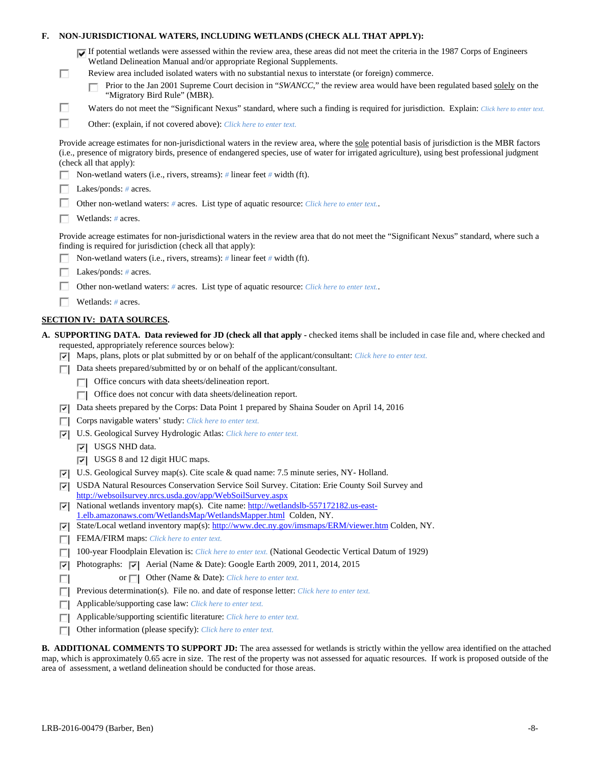| F. |                | NON-JURISDICTIONAL WATERS, INCLUDING WETLANDS (CHECK ALL THAT APPLY):                                                                                                                                                                                                                                                     |
|----|----------------|---------------------------------------------------------------------------------------------------------------------------------------------------------------------------------------------------------------------------------------------------------------------------------------------------------------------------|
|    | □              | If potential wetlands were assessed within the review area, these areas did not meet the criteria in the 1987 Corps of Engineers<br>Wetland Delineation Manual and/or appropriate Regional Supplements.<br>Review area included isolated waters with no substantial nexus to interstate (or foreign) commerce.            |
|    |                | Prior to the Jan 2001 Supreme Court decision in "SWANCC," the review area would have been regulated based solely on the<br>"Migratory Bird Rule" (MBR).                                                                                                                                                                   |
|    | □              | Waters do not meet the "Significant Nexus" standard, where such a finding is required for jurisdiction. Explain: Click here to enter text.                                                                                                                                                                                |
|    | п              | Other: (explain, if not covered above): Click here to enter text.                                                                                                                                                                                                                                                         |
|    |                | Provide acreage estimates for non-jurisdictional waters in the review area, where the sole potential basis of jurisdiction is the MBR factors<br>(i.e., presence of migratory birds, presence of endangered species, use of water for irrigated agriculture), using best professional judgment<br>(check all that apply): |
|    |                | Non-wetland waters (i.e., rivers, streams): # linear feet # width (ft).                                                                                                                                                                                                                                                   |
|    |                | Lakes/ponds: $# \, \text{acres.}$                                                                                                                                                                                                                                                                                         |
|    |                | Other non-wetland waters: # acres. List type of aquatic resource: Click here to enter text                                                                                                                                                                                                                                |
|    |                | Wetlands: # acres.                                                                                                                                                                                                                                                                                                        |
|    |                | Provide acreage estimates for non-jurisdictional waters in the review area that do not meet the "Significant Nexus" standard, where such a<br>finding is required for jurisdiction (check all that apply):                                                                                                                |
|    |                | Non-wetland waters (i.e., rivers, streams): $\#$ linear feet $\#$ width (ft).                                                                                                                                                                                                                                             |
|    |                | Lakes/ponds: $# \, \text{acres.}$                                                                                                                                                                                                                                                                                         |
|    |                | Other non-wetland waters: # acres. List type of aquatic resource: Click here to enter text                                                                                                                                                                                                                                |
|    |                | Wetlands: # acres.                                                                                                                                                                                                                                                                                                        |
|    |                | <b>SECTION IV: DATA SOURCES.</b>                                                                                                                                                                                                                                                                                          |
|    |                | A. SUPPORTING DATA. Data reviewed for JD (check all that apply - checked items shall be included in case file and, where checked and                                                                                                                                                                                      |
|    |                | requested, appropriately reference sources below):<br>$\triangleright$ Maps, plans, plots or plat submitted by or on behalf of the applicant/consultant: Click here to enter text.                                                                                                                                        |
|    | П              | Data sheets prepared/submitted by or on behalf of the applicant/consultant.                                                                                                                                                                                                                                               |
|    |                | Office concurs with data sheets/delineation report.                                                                                                                                                                                                                                                                       |
|    |                | Office does not concur with data sheets/delineation report.                                                                                                                                                                                                                                                               |
|    | 罓              | Data sheets prepared by the Corps: Data Point 1 prepared by Shaina Souder on April 14, 2016                                                                                                                                                                                                                               |
|    | П              | Corps navigable waters' study: Click here to enter text.                                                                                                                                                                                                                                                                  |
|    | ⊡              | U.S. Geological Survey Hydrologic Atlas: Click here to enter text.                                                                                                                                                                                                                                                        |
|    |                | USGS NHD data.                                                                                                                                                                                                                                                                                                            |
|    |                | $\vert \overline{\mathbf{v}} \vert$ USGS 8 and 12 digit HUC maps.                                                                                                                                                                                                                                                         |
|    | 罓              | U.S. Geological Survey map(s). Cite scale & quad name: 7.5 minute series, NY-Holland.                                                                                                                                                                                                                                     |
|    | $\overline{ }$ | USDA Natural Resources Conservation Service Soil Survey. Citation: Erie County Soil Survey and<br>http://websoilsurvey.nrcs.usda.gov/app/WebSoilSurvey.aspx                                                                                                                                                               |
|    | ⊡              | National wetlands inventory map(s). Cite name: http://wetlandslb-557172182.us-east-<br>1.elb.amazonaws.com/WetlandsMap/WetlandsMapper.html Colden, NY.                                                                                                                                                                    |
|    | ⊡              | State/Local wetland inventory map(s): http://www.dec.ny.gov/imsmaps/ERM/viewer.htm Colden, NY.                                                                                                                                                                                                                            |
|    | П              | FEMA/FIRM maps: Click here to enter text.                                                                                                                                                                                                                                                                                 |
|    | г              | 100-year Floodplain Elevation is: Click here to enter text. (National Geodectic Vertical Datum of 1929)                                                                                                                                                                                                                   |
|    | ⊽              | Photographs: $\overline{ \mathbf{v} }$ Aerial (Name & Date): Google Earth 2009, 2011, 2014, 2015                                                                                                                                                                                                                          |
|    | п              | or $\Box$ Other (Name & Date): Click here to enter text.                                                                                                                                                                                                                                                                  |
|    | П              | Previous determination(s). File no. and date of response letter: Click here to enter text.                                                                                                                                                                                                                                |
|    | Е              | Applicable/supporting case law: Click here to enter text.                                                                                                                                                                                                                                                                 |
|    | г              | Applicable/supporting scientific literature: Click here to enter text.                                                                                                                                                                                                                                                    |
|    | п              | Other information (please specify): Click here to enter text.                                                                                                                                                                                                                                                             |
|    |                | <b>B. ADDITIONAL COMMENTS TO SUPPORT JD:</b> The area assessed for wetlands is strictly within the yellow area identified on the attached                                                                                                                                                                                 |

map, which is approximately 0.65 acre in size. The rest of the property was not assessed for aquatic resources. If work is proposed outside of the area of assessment, a wetland delineation should be conducted for those areas.